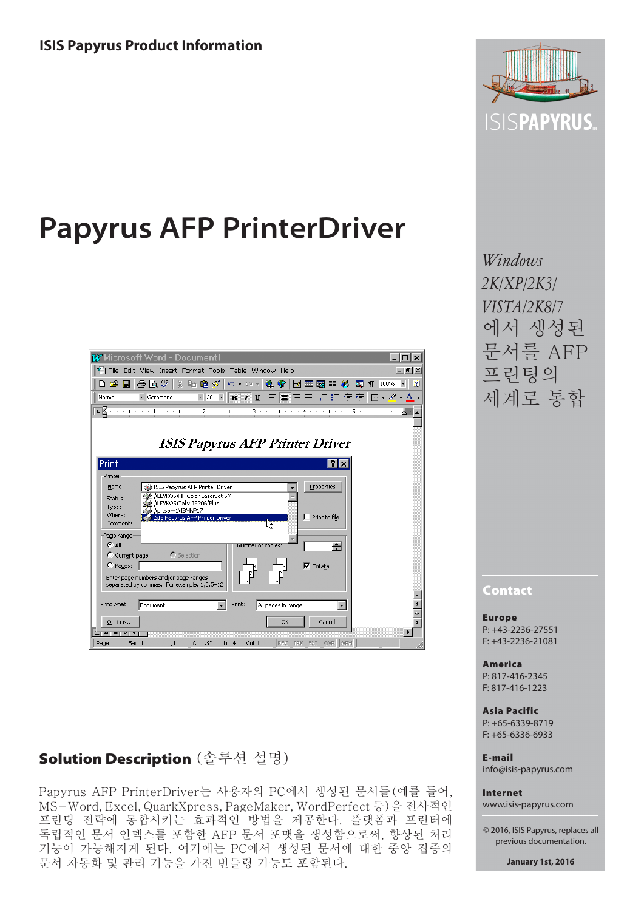# **Papyrus AFP PrinterDriver**

| <b>W</b> Microsoft Word - Document1                                                                                                                                                                         |
|-------------------------------------------------------------------------------------------------------------------------------------------------------------------------------------------------------------|
| <sup>它</sup> File Edit View Insert Format Tools Table Window Help<br>$-10x$                                                                                                                                 |
| 60 Q<br>* 唯自ダ<br>FИ<br>ø<br>医目孔<br>$\overline{\mathbf{r}}$<br>) 2 H<br>$\mathbf{k}^{\prime}\mathbf{)}\ \ \mathbf{v}\quad\mathbf{C}^{\prime}\mathbf{d}\quad\mathbf{v}$<br>e.<br>œ<br>ଢ<br>$\P$<br>100%<br>m. |
|                                                                                                                                                                                                             |
| 曹   曹   黄   甘   李   伊・∥・△・△・<br>Normal<br>Garamond<br>$-20$ $-$<br>$B$ $I$ $U$<br>事                                                                                                                         |
|                                                                                                                                                                                                             |
|                                                                                                                                                                                                             |
|                                                                                                                                                                                                             |
| <b>ISIS Papyrus AFP Printer Driver</b>                                                                                                                                                                      |
|                                                                                                                                                                                                             |
| Print<br>31<br>$\times$                                                                                                                                                                                     |
| Printer                                                                                                                                                                                                     |
| Properties<br>Name:<br>ISIS Papyrus AFP Printer Driver                                                                                                                                                      |
| WLEVKOS\HP Color LaserJet 5M                                                                                                                                                                                |
| Status:<br>NLEVKOS\Tally T8206/Plus\}<br>Type:                                                                                                                                                              |
| Oprtserv1\IBMNP17<br>Where:<br>$\Gamma$ Print to file<br>1515 Papyrus AFP Printer Driver                                                                                                                    |
| Comment:<br>₩                                                                                                                                                                                               |
| Page range                                                                                                                                                                                                  |
| $G$ All<br>÷<br>Number of copies:<br>l1                                                                                                                                                                     |
| $C$ Selection<br>C Current page                                                                                                                                                                             |
| C Pages:<br>$\nabla$ Collate                                                                                                                                                                                |
| Enter page numbers and/or page ranges                                                                                                                                                                       |
| separated by commas. For example, 1,3,5-12                                                                                                                                                                  |
|                                                                                                                                                                                                             |
| $\frac{1}{2}$<br>Print:<br>Print what:<br>Document<br>All pages in range                                                                                                                                    |
|                                                                                                                                                                                                             |
| Options<br>OK<br>Cancel                                                                                                                                                                                     |
|                                                                                                                                                                                                             |
| 1/1<br>At 1.9"<br>Col <sub>1</sub><br>Sec 1<br>Ln <sub>4</sub><br>REC<br><b>WPH</b><br>Page 1                                                                                                               |

# Solution Description (솔루션 설명)

Papyrus AFP PrinterDriver는 사용자의 PC에서 생성된 문서들(예를 들어, MS-Word, Excel, QuarkXpress, PageMaker, WordPerfect 등)을 전사적인 프린팅 전략에 통합시키는 효과적인 방법을 제공한다. 플랫폼과 프린터에 독립적인 문서 인덱스를 포함한 AFP 문서 포맷을 생성함으로써, 향상된 처리 기능이 가능해지게 된다. 여기에는 PC에서 생성된 문서에 대한 중앙 집중의 문서 자동화 및 관리 기능을 가진 번들링 기능도 포함된다.



*Windows 2K/XP/2K3/ VISTA/2K8/7* 에서 생성된 문서를 AFP 프린팅의 세계로 통합

Contact

Europe P: +43-2236-27551 F: +43-2236-21081

America P: 817-416-2345 F: 817-416-1223

Asia Pacific P: +65-6339-8719 F: +65-6336-6933

E-mail info@isis-papyrus.com

Internet www.isis-papyrus.com

© 2016, ISIS Papyrus, replaces all previous documentation.

**January 1st, 2016**